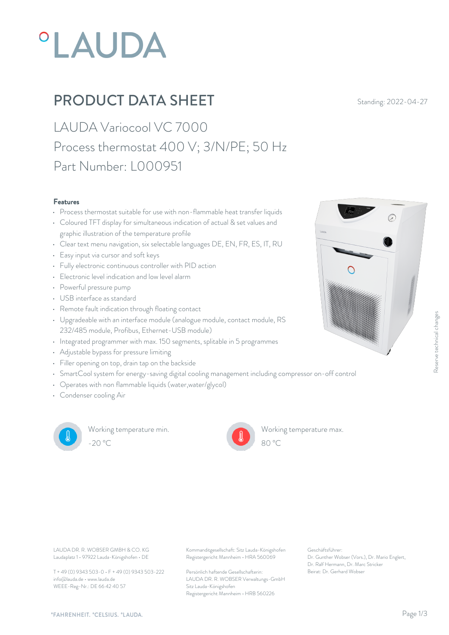# **°LAUDA**

### **PRODUCT DATA SHEET** Standing: 2022-04-27

LAUDA Variocool VC 7000 Process thermostat 400 V; 3/N/PE; 50 Hz Part Number: L000951

#### Features

- Process thermostat suitable for use with non-flammable heat transfer liquids
- Coloured TFT display for simultaneous indication of actual & set values and graphic illustration of the temperature profile
- Clear text menu navigation, six selectable languages DE, EN, FR, ES, IT, RU
- Easy input via cursor and soft keys
- Fully electronic continuous controller with PID action
- Electronic level indication and low level alarm
- Powerful pressure pump
- USB interface as standard
- Remote fault indication through floating contact
- Upgradeable with an interface module (analogue module, contact module, RS 232/485 module, Profibus, Ethernet-USB module)
- Integrated programmer with max. 150 segments, splitable in 5 programmes
- Adjustable bypass for pressure limiting
- Filler opening on top, drain tap on the backside
- SmartCool system for energy-saving digital cooling management including compressor on-off control
- Operates with non flammable liquids (water,water/glycol)
- Condenser cooling Air



Working temperature min. -20 °C 80 °C

Working temperature max.



Laudaplatz 1 • 97922 Lauda-Königshofen • DE

T + 49 (0) 9343 503-0 • F + 49 (0) 9343 503-222 info@lauda.de • www.lauda.de WEEE-Reg-Nr.: DE 66 42 40 57

LAUDA DR. R. WOBSER GMBH & CO. KG Kommanditgesellschaft: Sitz Lauda-Königshofen Geschäftsführer: Registergericht Mannheim • HRA 560069

> Persönlich haftende Gesellschafterin: Beirat: Dr. Gerhard Wobse LAUDA DR. R. WOBSER Verwaltungs-GmbH Sitz Lauda-Königshofen Registergericht Mannheim • HRB 560226

Geschäftsführer: Dr. Gunther Wobser (Vors.), Dr. Mario Englert, Dr. Ralf Hermann, Dr. Marc Stricker

80 °C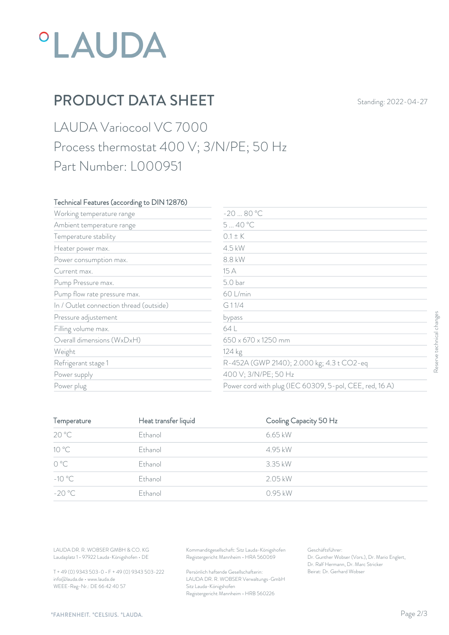# *°LAUDA*

## PRODUCT DATA SHEET Standing: 2022-04-27

### LAUDA Variocool VC 7000 Process thermostat 400 V; 3/N/PE; 50 Hz Part Number: L000951

#### Technical Features (according to DIN 12876)

| Working temperature range               | $-2080 °C$                                              |                   |  |
|-----------------------------------------|---------------------------------------------------------|-------------------|--|
| Ambient temperature range               | 540 °C                                                  |                   |  |
| Temperature stability                   | $0.1 \pm K$                                             |                   |  |
| Heater power max.                       | 4.5 kW                                                  |                   |  |
| Power consumption max.                  | 8.8 kW                                                  |                   |  |
| Current max.                            | 15 A                                                    |                   |  |
| Pump Pressure max.                      | 5.0 bar                                                 |                   |  |
| Pump flow rate pressure max.            | 60 L/min                                                |                   |  |
| In / Outlet connection thread (outside) | G11/4                                                   |                   |  |
| Pressure adjustement                    | bypass                                                  |                   |  |
| Filling volume max.                     | 64 L                                                    | technical changes |  |
| Overall dimensions (WxDxH)              | 650 x 670 x 1250 mm                                     |                   |  |
| Weight                                  | 124 kg                                                  |                   |  |
| Refrigerant stage 1                     | R-452A (GWP 2140); 2.000 kg; 4.3 t CO2-eq               | Reser             |  |
| Power supply                            | 400 V; 3/N/PE; 50 Hz                                    |                   |  |
| Power plug                              | Power cord with plug (IEC 60309, 5-pol, CEE, red, 16 A) |                   |  |

| Pressure adjustement                                                             |                      | bypass                                                                                 |                                                                                                           |  |
|----------------------------------------------------------------------------------|----------------------|----------------------------------------------------------------------------------------|-----------------------------------------------------------------------------------------------------------|--|
| Filling volume max.                                                              |                      | 64 L                                                                                   |                                                                                                           |  |
| Overall dimensions (WxDxH)                                                       |                      | 650 x 670 x 1250 mm                                                                    |                                                                                                           |  |
| Weight                                                                           |                      | 124 kg                                                                                 |                                                                                                           |  |
| Refrigerant stage 1                                                              |                      |                                                                                        | R-452A (GWP 2140); 2.000 kg; 4.3 t CO2-eq                                                                 |  |
| Power supply                                                                     |                      | 400 V; 3/N/PE; 50 Hz                                                                   |                                                                                                           |  |
| Power plug                                                                       |                      |                                                                                        | Power cord with plug (IEC 60309, 5-pol, CEE, red, 16 A)                                                   |  |
|                                                                                  |                      |                                                                                        |                                                                                                           |  |
| Temperature                                                                      | Heat transfer liquid |                                                                                        | Cooling Capacity 50 Hz                                                                                    |  |
| 20 °C                                                                            | Ethanol              | 6.65 kW                                                                                |                                                                                                           |  |
| 10 °C                                                                            | Ethanol              | 4.95 kW                                                                                |                                                                                                           |  |
| $\mathrm{O}\ \mathrm{^oC}$                                                       | Ethanol              | 3.35 kW                                                                                |                                                                                                           |  |
| $-10^{\circ}$ C                                                                  | Ethanol              | 2.05 kW                                                                                |                                                                                                           |  |
| $-20 °C$                                                                         | Ethanol              | 0.95 kW                                                                                |                                                                                                           |  |
|                                                                                  |                      |                                                                                        |                                                                                                           |  |
|                                                                                  |                      |                                                                                        |                                                                                                           |  |
| LAUDA DR. R. WOBSER GMBH & CO. KG<br>Laudaplatz 1 · 97922 Lauda-Königshofen · DE |                      | Kommanditgesellschaft: Sitz Lauda-Königshofen<br>Registergericht Mannheim · HRA 560069 | Geschäftsführer:<br>Dr. Gunther Wobser (Vors.), Dr. Mario Englert,<br>Dr. Ralf Hermann, Dr. Marc Stricker |  |
| T + 49 (0) 9343 503-0 · F + 49 (0) 9343 503-222                                  |                      | Persönlich haftende Gesellschafterin:                                                  | Beirat: Dr. Gerhard Wobser                                                                                |  |

T + 49 (0) 9343 503-0 • F + 49 (0) 9343 503-222 info@lauda.de • www.lauda.de WEEE-Reg-Nr.: DE 66 42 40 57

> Persönlich haftende Gesellschafterin: Beirat: Dr. Gerhard Wobser LAUDA DR. R. WOBSER Verwaltungs-GmbH Sitz Lauda-Königshofen Registergericht Mannheim • HRB 560226